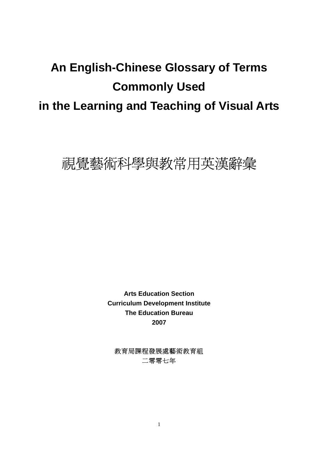# **An English-Chinese Glossary of Terms Commonly Used in the Learning and Teaching of Visual Arts**



**Arts Education Section Curriculum Development Institute The Education Bureau 2007** 

教育局課程發展處藝術教育組 二零零七年

1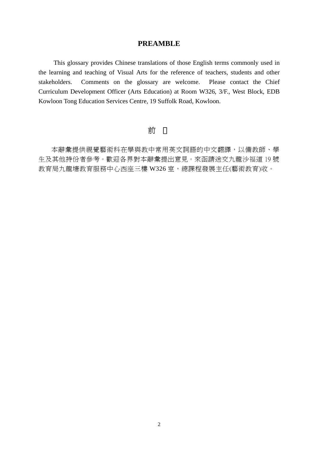#### **PREAMBLE**

 This glossary provides Chinese translations of those English terms commonly used in the learning and teaching of Visual Arts for the reference of teachers, students and other stakeholders. Comments on the glossary are welcome. Please contact the Chief Curriculum Development Officer (Arts Education) at Room W326, 3/F., West Block, EDB Kowloon Tong Education Services Centre, 19 Suffolk Road, Kowloon.

### 前

本辭彙提供視覺藝術科在學與教中常用英文詞語的中文翻譯,以備教師、學 生及其他持份者參考。歡迎各界對本辭彙提出意見。來函請送交九龍沙福道 19 號 教育局九龍塘教育服務中心西座三樓 W326 室, 總課程發展主任(藝術教育)收。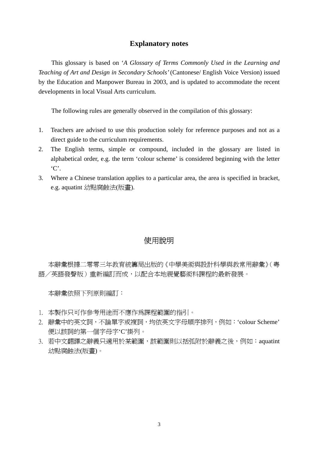#### **Explanatory notes**

 This glossary is based on '*A Glossary of Terms Commonly Used in the Learning and Teaching of Art and Design in Secondary Schools'* (Cantonese/ English Voice Version) issued by the Education and Manpower Bureau in 2003, and is updated to accommodate the recent developments in local Visual Arts curriculum.

The following rules are generally observed in the compilation of this glossary:

- 1. Teachers are advised to use this production solely for reference purposes and not as a direct guide to the curriculum requirements.
- 2. The English terms, simple or compound, included in the glossary are listed in alphabetical order, e.g. the term 'colour scheme' is considered beginning with the letter 'C'.
- 3. Where a Chinese translation applies to a particular area, the area is specified in bracket, e.g. aquatint 幼點腐蝕法(版畫).

#### 使用說明

本辭彙根據二零零三年教育統籌局出版的《中學美術與設計科學與教常用辭彙》(粵 語/英語發聲版)重新編訂而成,以配合本地視覺藝術科課程的最新發展。

本辭彙依照下列原則編訂:

- 1. 本製作只可作參考用途而不應作為課程範圍的指引。
- 2. 辭彙中的英文詞,不論單字或複詞,均依英文字母順序排列,例如:'colour Scheme' 便以該詞的第一個字母字'C'掛列。
- 3. 若中文翻譯之辭義只適用於某範圍,該範圍則以括弧附於辭義之後,例如: aquatint 幼點腐蝕法(版畫)。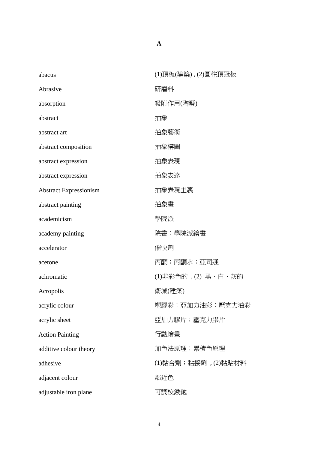| abacus                        | (1)頂板(建築),(2)圓柱頂冠板 |
|-------------------------------|--------------------|
| Abrasive                      | 研磨料                |
| absorption                    | 吸附作用(陶藝)           |
| abstract                      | 抽象                 |
| abstract art                  | 抽象藝術               |
| abstract composition          | 抽象構圖               |
| abstract expression           | 抽象表現               |
| abstract expression           | 抽象表達               |
| <b>Abstract Expressionism</b> | 抽象表現主義             |
| abstract painting             | 抽象畫                |
| academicism                   | 學院派                |
| academy painting              | 院畫;學院派繪畫           |
| accelerator                   | 催快劑                |
| acetone                       | 丙酮;丙酮水;亞司通         |
| achromatic                    | (1)非彩色的,(2)黑、白、灰的  |
| Acropolis                     | 衛城(建築)             |
| acrylic colour                | 塑膠彩;亞加力油彩;壓克力油彩    |
| acrylic sheet                 | 亞加力膠片;壓克力膠片        |
| <b>Action Painting</b>        | 行動繪畫               |
| additive colour theory        | 加色法原理;累積色原理        |
| adhesive                      | (1)黏合劑;黏接劑,(2)黏貼材料 |
| adjacent colour               | 鄰近色                |
| adjustable iron plane         | 可調校鐵鉋              |

**A**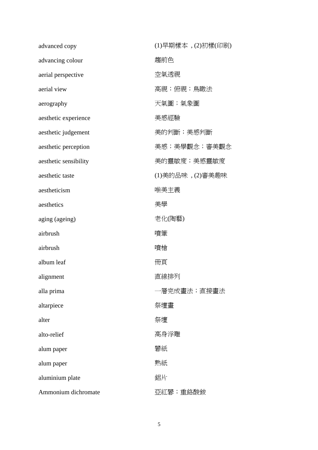| advanced copy         | (1)早期樣本, (2)初樣(印刷) |
|-----------------------|--------------------|
| advancing colour      | 趨前色                |
| aerial perspective    | 空氣透視               |
| aerial view           | 高視;俯視;鳥瞰法          |
| aerography            | 天氣圖;氣象圖            |
| aesthetic experience  | 美感經驗               |
| aesthetic judgement   | 美的判斷;美感判斷          |
| aesthetic perception  | 美感;美學觀念;審美觀念       |
| aesthetic sensibility | 美的靈敏度;美感靈敏度        |
| aesthetic taste       | (1)美的品味 , (2)審美趣味  |
| aestheticism          | 唯美主義               |
| aesthetics            | 美學                 |
| aging (ageing)        | 老化(陶藝)             |
| airbrush              | 噴筆                 |
| airbrush              | 噴槍                 |
| album leaf            | 冊頁                 |
| alignment             | 直線排列               |
| alla prima            | -層完成書法;直接書法        |
| altarpiece            | 祭壇畫                |
| alter                 | 祭壇                 |
| alto-relief           | 高身浮雕               |
| alum paper            | 礬紙                 |
| alum paper            | 熟紙                 |
| aluminium plate       | 鋁片                 |
| Ammonium dichromate   | 亞紅礬;重鉻酸銨           |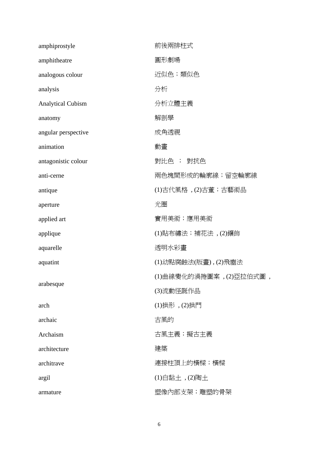| amphiprostyle            | 前後兩排柱式                   |
|--------------------------|--------------------------|
| amphitheatre             | 圓形劇場                     |
| analogous colour         | 近似色;類似色                  |
| analysis                 | 分析                       |
| <b>Analytical Cubism</b> | 分析立體主義                   |
| anatomy                  | 解剖學                      |
| angular perspective      | 成角透視                     |
| animation                | 動畫                       |
| antagonistic colour      | 對比色 ; 對抗色                |
| anti-cerne               | 兩色塊間形成的輪廓線;留空輪廓線         |
| antique                  | (1)古代風格, (2)古董;古藝術品      |
| aperture                 | 光圈                       |
| applied art              | 實用美術;應用美術                |
| applique                 | (1)貼布繡法;補花法,(2)鑲飾        |
| aquarelle                | 透明水彩畫                    |
| aquatint                 | (1)幼點腐蝕法(版畫),(2)飛塵法      |
|                          | (1)曲線變化的渦捲圖案 ,(2)亞拉伯式圖 , |
| arabesque                | (3)流動怪誕作品                |
| arch                     | (1)拱形, (2)拱門             |
| archaic                  | 古風的                      |
| Archaism                 | 古風主義;擬古主義                |
| architecture             | 建築                       |
| architrave               | 連接柱頂上的橫樑;橫樑              |
| argil                    | $(1)$ 白黏土, $(2)$ 陶土      |
| armature                 | 塑像內部支架;雕塑的骨架             |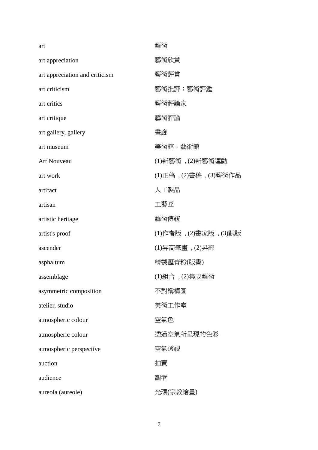| art                            | 藝術                     |
|--------------------------------|------------------------|
| art appreciation               | 藝術欣賞                   |
| art appreciation and criticism | 藝術評賞                   |
| art criticism                  | 藝術批評;藝術評鑑              |
| art critics                    | 藝術評論家                  |
| art critique                   | 藝術評論                   |
| art gallery, gallery           | 畫廊                     |
| art museum                     | 美術館;藝術館                |
| <b>Art Nouveau</b>             | $(1)$ 新藝術, $(2)$ 新藝術運動 |
| art work                       | (1)正稿, (2)畫稿, (3)藝術作品  |
| artifact                       | 人工製品                   |
| artisan                        | 工藝匠                    |
| artistic heritage              | 藝術傳統                   |
| artist's proof                 | (1)作者版, (2)畫家版, (3)試版  |
| ascender                       | (1)昇高筆畫 , (2)昇部        |
| asphaltum                      | 精製瀝青粉(版畫)              |
| assemblage                     | (1)組合, (2)集成藝術         |
| asymmetric composition         | 不對稱構圖                  |
| atelier, studio                | 美術工作室                  |
| atmospheric colour             | 空氣色                    |
| atmospheric colour             | 透過空氣所呈現的色彩             |
| atmospheric perspective        | 空氣透視                   |
| auction                        | 拍賣                     |
| audience                       | 觀者                     |
| aureola (aureole)              | 光環(宗教繪畫)               |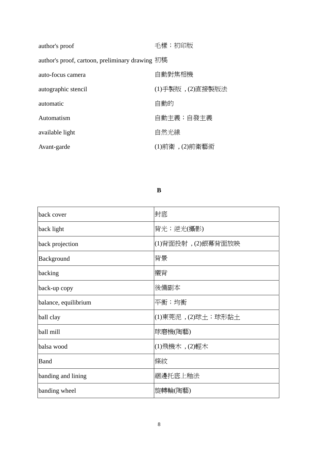| author's proof                                  | 毛樣;初印版           |
|-------------------------------------------------|------------------|
| author's proof, cartoon, preliminary drawing 初稿 |                  |
| auto-focus camera                               | 自動對焦相機           |
| autographic stencil                             | (1)手製版, (2)直接製版法 |
| automatic                                       | 自動的              |
| Automatism                                      | 自動主義;自發主義        |
| available light                                 | 自然光線             |
| Avant-garde                                     | (1)前衛, (2)前衛藝術   |

**B** 

| back cover           | 封底                 |
|----------------------|--------------------|
| back light           | 背光;逆光(攝影)          |
| back projection      | (1)背面投射, (2)銀幕背面放映 |
| Background           | 背景                 |
| backing              | 襯背                 |
| back-up copy         | 後備副本               |
| balance, equilibrium | 平衡;均衡              |
| ball clay            | (1)東莞泥,(2)球土;球形黏土  |
| ball mill            | 球磨機(陶藝)            |
| balsa wood           | (1)飛機木, (2)輕木      |
| <b>Band</b>          | 條紋                 |
| banding and lining   | 綑邊托底上釉法            |
| banding wheel        | 旋轉輪(陶藝)            |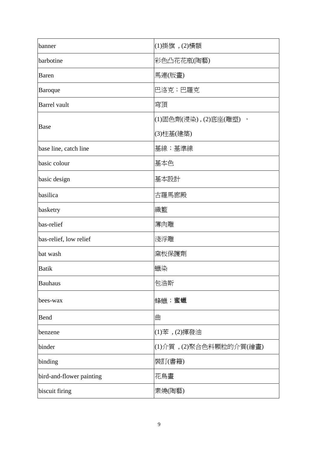| banner                   | (1)掛旗, (2)橫額             |
|--------------------------|--------------------------|
| barbotine                | 彩色凸花花瓶(陶藝)               |
| <b>Baren</b>             | 馬連(版畫)                   |
| <b>Baroque</b>           | 巴洛克;巴羅克                  |
| <b>Barrel</b> vault      | 穹頂                       |
| <b>Base</b>              | (1)固色劑(浸染) , (2)底座(雕塑) , |
|                          | (3)柱基(建築)                |
| base line, catch line    | 基線;基準線                   |
| basic colour             | 基本色                      |
| basic design             | 基本設計                     |
| basilica                 | 古羅馬廊殿                    |
| basketry                 | 織籃                       |
| bas-relief               | 薄肉雕                      |
| bas-relief, low relief   | 淺浮雕                      |
| bat wash                 | 窯板保護劑                    |
| <b>Batik</b>             | 蠟染                       |
| <b>Bauhaus</b>           | 包浩斯                      |
| bees-wax                 | 蜂蠟;蜜蠟                    |
| Bend                     | 曲                        |
| benzene                  | (1)苯, (2)揮發油             |
| binder                   | (1)介質, (2)聚合色料顆粒的介質(繪畫)  |
| binding                  | 裝訂(書籍)                   |
| bird-and-flower painting | 花鳥畫                      |
| biscuit firing           | 素燒(陶藝)                   |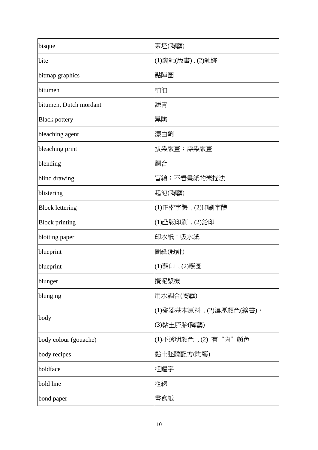| bisque                 | 素坯(陶藝)                   |
|------------------------|--------------------------|
| bite                   | (1)腐蝕(版畫), (2)蝕跡         |
| bitmap graphics        | 點陣圖                      |
| bitumen                | 柏油                       |
| bitumen, Dutch mordant | 瀝青                       |
| <b>Black pottery</b>   | 黑陶                       |
| bleaching agent        | 漂白劑                      |
| bleaching print        | 拔染版畫;漂染版畫                |
| blending               | 調合                       |
| blind drawing          | 盲繪;不看畫紙的素描法              |
| blistering             | 起泡(陶藝)                   |
| <b>Block lettering</b> | (1)正楷字體,(2)印刷字體          |
| <b>Block printing</b>  | (1)凸版印刷, $(2)$ 鉛印        |
| blotting paper         | 印水紙;吸水紙                  |
| blueprint              | 圖紙(設計)                   |
| blueprint              | (1)藍印, (2)藍圖             |
| blunger                | 攪泥漿機                     |
| blunging               | 用水調合(陶藝)                 |
| body                   | (1)瓷器基本原料 , (2)濃厚顏色(繪畫), |
|                        | (3)黏土胚胎(陶藝)              |
| body colour (gouache)  | (1)不透明顏色 , (2) 有"肉"顏色    |
| body recipes           | 黏土胚體配方(陶藝)               |
| boldface               | 粗體字                      |
| bold line              | 粗線                       |
| bond paper             | 書寫紙                      |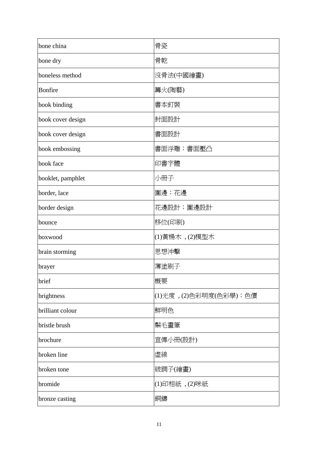| bone china        | 骨瓷                      |
|-------------------|-------------------------|
| bone dry          | 骨乾                      |
| boneless method   | 沒骨法(中國繪畫)               |
| Bonfire           | 篝火(陶藝)                  |
| book binding      | 書本釘裝                    |
| book cover design | 封面設計                    |
| book cover design | 書面設計                    |
| book embossing    | 書面浮雕;書面壓凸               |
| book face         | 印書字體                    |
| booklet, pamphlet | 小冊子                     |
| border, lace      | 圍邊;花邊                   |
| border design     | 花邊設計; 圍邊設計              |
| bounce            | 移位(印刷)                  |
| boxwood           | (1) 黄楊木, (2) 模型木        |
| brain storming    | 思想沖擊                    |
| brayer            | 薄塗刷子                    |
| brief             | 概要                      |
| brightness        | (1)光度, (2)色彩明度(色彩學); 色價 |
| brilliant colour  | 鮮明色                     |
| bristle brush     | 鬃毛畫筆                    |
| brochure          | 宣傳小冊(設計)                |
| broken line       | 虛線                      |
| broken tone       | 破調子(繪畫)                 |
| bromide           | (1)印相紙, (2)咪紙           |
| bronze casting    | 銅鑄                      |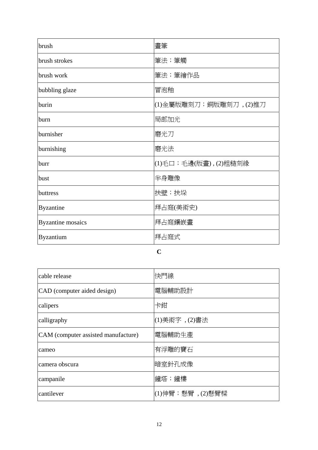| brush                    | 畫筆                    |
|--------------------------|-----------------------|
| brush strokes            | 筆法;筆觸                 |
| brush work               | 筆法;筆繪作品               |
| bubbling glaze           | 冒泡釉                   |
| burin                    | (1)金屬版雕刻刀;銅版雕刻刀,(2)推刀 |
| burn                     | 局部加光                  |
| burnisher                | 磨光刀                   |
| burnishing               | 磨光法                   |
| burr                     | (1)毛口;毛邊(版畫),(2)粗糙刻緣  |
| bust                     | 半身雕像                  |
| buttress                 | 扶壁;扶垛                 |
| <b>Byzantine</b>         | 拜占庭(美術史)              |
| <b>Byzantine</b> mosaics | 拜占庭鑲嵌畫                |
| <b>Byzantium</b>         | 拜占庭式                  |

**C** 

| cable release                       | 快門線             |
|-------------------------------------|-----------------|
| CAD (computer aided design)         | 電腦輔助設計          |
| calipers                            | 卡鉗              |
| calligraphy                         | (1)美術字 , (2)書法  |
| CAM (computer assisted manufacture) | 電腦輔助生產          |
| cameo                               | 有浮雕的寶石          |
| camera obscura                      | 暗室針孔成像          |
| campanile                           | 鐘塔;鐘樓           |
| cantilever                          | (1)伸臂;懸臂﹐(2)懸臂樑 |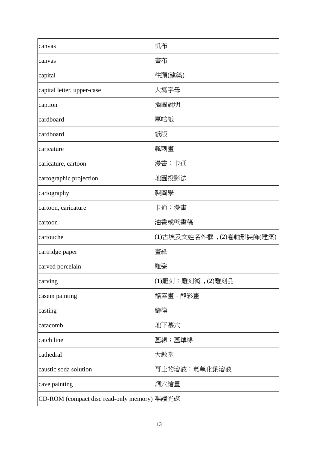| canvas                                      | 帆布                       |
|---------------------------------------------|--------------------------|
| canvas                                      | 畫布                       |
| capital                                     | 柱頭(建築)                   |
| capital letter, upper-case                  | 大寫字母                     |
| caption                                     | 插圖說明                     |
| cardboard                                   | 厚咭紙                      |
| cardboard                                   | 紙版                       |
| caricature                                  | 諷刺畫                      |
| caricature, cartoon                         | 漫畫;卡通                    |
| cartographic projection                     | 地圖投影法                    |
| cartography                                 | 製圖學                      |
| cartoon, caricature                         | 卡通;漫畫                    |
| cartoon                                     | 油畫或壁畫稿                   |
| cartouche                                   | (1)古埃及文姓名外框,(2)卷軸形裝飾(建築) |
| cartridge paper                             | 畫紙                       |
| carved porcelain                            | 雕瓷                       |
| carving                                     | (1)雕刻;雕刻術 , (2)雕刻品       |
| casein painting                             | 酪素畫;酪彩畫                  |
| casting                                     | 鑄模                       |
| catacomb                                    | 地下墓穴                     |
| catch line                                  | 基線;基準線                   |
| cathedral                                   | 大教堂                      |
| caustic soda solution                       | 哥士的溶液;氫氧化鈉溶液             |
| cave painting                               | 洞穴繪畫                     |
| CD-ROM (compact disc read-only memory) 唯讀光碟 |                          |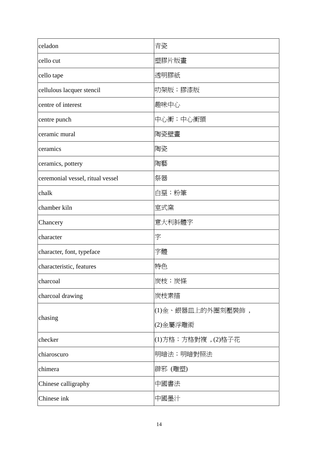| celadon                          | 青瓷                  |
|----------------------------------|---------------------|
| cello cut                        | 塑膠片版畫               |
| cello tape                       | 透明膠紙                |
| cellulous lacquer stencil        | 叻架版;膠漆版             |
| centre of interest               | 趣味中心                |
| centre punch                     | 中心衝;中心衝頭            |
| ceramic mural                    | 陶瓷壁畫                |
| ceramics                         | 陶瓷                  |
| ceramics, pottery                | 陶藝                  |
| ceremonial vessel, ritual vessel | 祭器                  |
| chalk                            | 白堊;粉筆               |
| chamber kiln                     | 室式窯                 |
| Chancery                         | 意大利斜體字              |
| character                        | 字                   |
| character, font, typeface        | 字體                  |
| characteristic, features         | 特色                  |
| charcoal                         | 炭枝;炭條               |
| charcoal drawing                 | 炭枝素描                |
| chasing                          | (1)金、銀器皿上的外圈刻壓裝飾,   |
|                                  | (2)金屬浮雕術            |
| checker                          | (1)方格;方格對複 , (2)格子花 |
| chiaroscuro                      | 明暗法;明暗對照法           |
| chimera                          | 辟邪 (雕塑)             |
| Chinese calligraphy              | 中國書法                |
| Chinese ink                      | 中國墨汁                |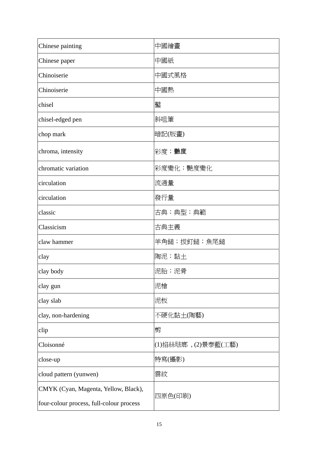| Chinese painting                                                                 | 中國繪畫                |
|----------------------------------------------------------------------------------|---------------------|
| Chinese paper                                                                    | 中國紙                 |
| Chinoiserie                                                                      | 中國式風格               |
| Chinoiserie                                                                      | 中國熱                 |
| chisel                                                                           | 鑿                   |
| chisel-edged pen                                                                 | 斜咀筆                 |
| chop mark                                                                        | 暗記(版畫)              |
| chroma, intensity                                                                | 彩度;艷度               |
| chromatic variation                                                              | 彩度變化;艷度變化           |
| circulation                                                                      | 流通量                 |
| circulation                                                                      | 發行量                 |
| classic                                                                          | 古典;典型;典範            |
| Classicism                                                                       | 古典主義                |
| claw hammer                                                                      | 羊角鎚;拔釘鎚;魚尾鎚         |
| clay                                                                             | 陶泥;黏土               |
| clay body                                                                        | 泥胎;泥骨               |
| clay gun                                                                         | 泥槍                  |
| clay slab                                                                        | 泥板                  |
| clay, non-hardening                                                              | 不硬化黏土(陶藝)           |
| clip                                                                             | 剪                   |
| Cloisonné                                                                        | (1)掐絲琺瑯, (2)景泰藍(工藝) |
| close-up                                                                         | 特寫(攝影)              |
| cloud pattern (yunwen)                                                           | 雲紋                  |
| CMYK (Cyan, Magenta, Yellow, Black),<br>four-colour process, full-colour process | 四原色(印刷)             |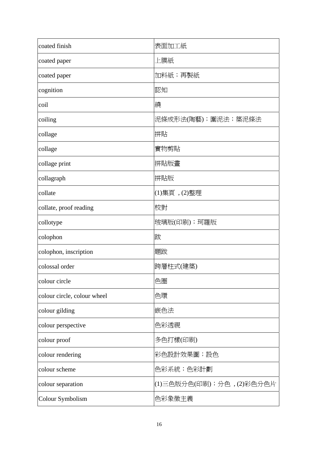| coated finish               | 表面加工紙                    |
|-----------------------------|--------------------------|
| coated paper                | 上膜紙                      |
| coated paper                | 加料紙;再製紙                  |
| cognition                   | 認知                       |
| coil                        | 繞                        |
| coiling                     | 泥條成形法(陶藝); 圍泥法; 築泥條法     |
| collage                     | 拼貼                       |
| collage                     | 實物剪貼                     |
| collage print               | 拼貼版畫                     |
| collagraph                  | 拼貼版                      |
| collate                     | (1)集頁, (2)整理             |
| collate, proof reading      | 校對                       |
| collotype                   | 玻璃版(印刷);珂羅版              |
| colophon                    | 跋                        |
| colophon, inscription       | 題跋                       |
| colossal order              | 跨層柱式(建築)                 |
| colour circle               | 色圈                       |
| colour circle, colour wheel | 色環                       |
| colour gilding              | 嵌色法                      |
| colour perspective          | 色彩透視                     |
| colour proof                | 多色打樣(印刷)                 |
| colour rendering            | 彩色設計效果圖;設色               |
| colour scheme               | 色彩系統;色彩計劃                |
| colour separation           | (1)三色版分色(印刷);分色,(2)彩色分色片 |
| Colour Symbolism            | 色彩象徵主義                   |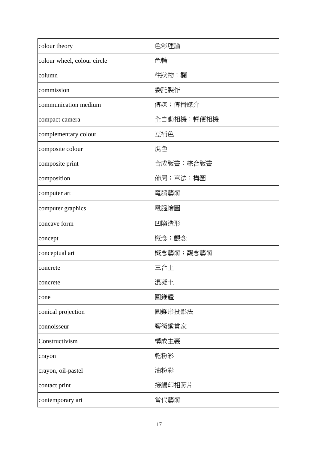| colour theory               | 色彩理論       |
|-----------------------------|------------|
| colour wheel, colour circle | 色輪         |
| column                      | 柱狀物;欄      |
| commission                  | 委託製作       |
| communication medium        | 傳媒;傳播媒介    |
| compact camera              | 全自動相機;輕便相機 |
| complementary colour        | 互補色        |
| composite colour            | 混色         |
| composite print             | 合成版畫;綜合版畫  |
| composition                 | 佈局;章法;構圖   |
| computer art                | 電腦藝術       |
| computer graphics           | 電腦繪圖       |
| concave form                | 凹陷造形       |
| concept                     | 概念;觀念      |
| conceptual art              | 概念藝術;觀念藝術  |
| concrete                    | 三合土        |
| concrete                    | 混凝土        |
| cone                        | 圓錐體        |
| conical projection          | 圓錐形投影法     |
| connoisseur                 | 藝術鑑賞家      |
| Constructivism              | 構成主義       |
| crayon                      | 乾粉彩        |
| crayon, oil-pastel          | 油粉彩        |
| contact print               | 接觸印相照片     |
| contemporary art            | 當代藝術       |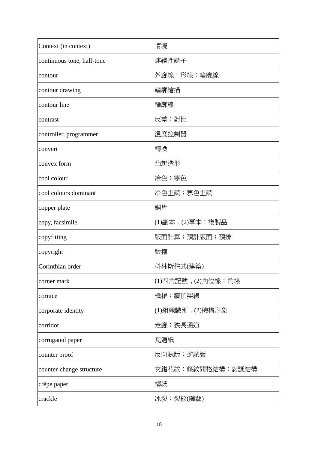| Context (in context)       | 情境                  |
|----------------------------|---------------------|
| continuous tone, half-tone | 連續性調子               |
| contour                    | 外廊線;形線;輪廓線          |
| contour drawing            | 輪廓繪描                |
| contour line               | 輪廓線                 |
| contrast                   | 反差;對比               |
| controller, programmer     | 溫度控制器               |
| convert                    | 轉換                  |
| convex form                | 凸起造形                |
| cool colour                | 冷色;寒色               |
| cool colours dominant      | 冷色主調;寒色主調           |
| copper plate               | 銅片                  |
| copy, facsimile            | (1)副本, (2)摹本; 複製品   |
| copyfitting                | 版面計算;預計版面;預排        |
| copyright                  | 版權                  |
| Corinthian order           | 科林斯柱式(建築)           |
| corner mark                | (1)四角記號, (2)角位線; 角線 |
| cornice                    | 檐楣;牆頂突線             |
| corporate identity         | (1)組織識別 , (2)機構形象   |
| corridor                   | 走廊;狹長通道             |
| corrugated paper           | 瓦通紙                 |
| counter proof              | 反向試版;逆試版            |
| counter-change structure   | 交錯花紋;條紋間格結構;對調結構    |
| crêpe paper                | 縐紙                  |
| crackle                    | 冰裂;裂紋(陶藝)           |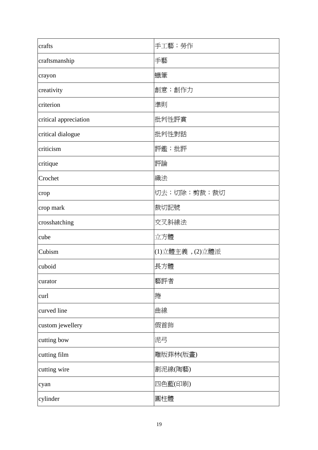| crafts                | 手工藝;勞作          |
|-----------------------|-----------------|
| craftsmanship         | 手藝              |
| crayon                | 蠟筆              |
| creativity            | 創意;創作力          |
| criterion             | 準則              |
| critical appreciation | 批判性評賞           |
| critical dialogue     | 批判性對話           |
| criticism             | 評鑑;批評           |
| critique              | 評論              |
| Crochet               | 織法              |
| crop                  | 切去;切除;剪裁;裁切     |
| crop mark             | 裁切記號            |
| crosshatching         | 交叉斜線法           |
| cube                  | 立方體             |
| Cubism                | (1)立體主義, (2)立體派 |
| cuboid                | 長方體             |
| curator               | 藝評者             |
| curl                  | 捲               |
| curved line           | 曲線              |
| custom jewellery      | 假首飾             |
| cutting bow           | 泥弓              |
| cutting film          | 雕版菲林(版畫)        |
| cutting wire          | 割泥線(陶藝)         |
| cyan                  | 四色藍(印刷)         |
| cylinder              | 圓柱體             |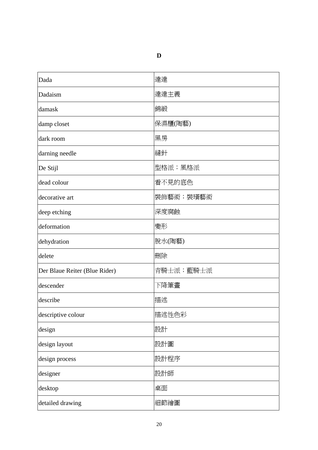| Dada                          | 達達        |
|-------------------------------|-----------|
| Dadaism                       | 達達主義      |
| damask                        | 錦緞        |
| damp closet                   | 保濕櫃(陶藝)   |
| dark room                     | 黑房        |
| darning needle                | 縫針        |
| De Stijl                      | 型格派;風格派   |
| dead colour                   | 看不見的底色    |
| decorative art                | 裝飾藝術;裝璜藝術 |
| deep etching                  | 深度腐蝕      |
| deformation                   | 變形        |
| dehydration                   | 脫水(陶藝)    |
| delete                        | 刪除        |
| Der Blaue Reiter (Blue Rider) | 青騎士派;藍騎士派 |
| descender                     | 下降筆畫      |
| describe                      | 描述        |
| descriptive colour            | 描述性色彩     |
| design                        | 設計        |
| design layout                 | 設計圖       |
| design process                | 設計程序      |
| designer                      | 設計師       |
| desktop                       | 桌面        |
| detailed drawing              | 細節繪圖      |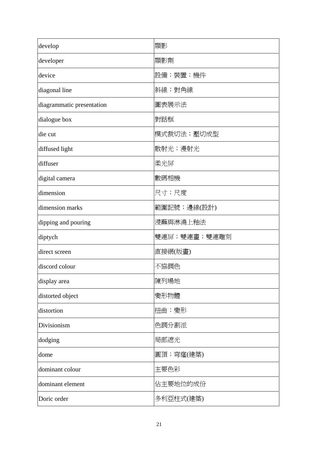| develop                   | 顯影           |
|---------------------------|--------------|
| developer                 | 顯影劑          |
| device                    | 設備;裝置;機件     |
| diagonal line             | 斜線;對角線       |
| diagrammatic presentation | 圖表展示法        |
| dialogue box              | 對話框          |
| die cut                   | 模式裁切法;壓切成型   |
| diffused light            | 散射光;漫射光      |
| diffuser                  | 柔光屏          |
| digital camera            | 數碼相機         |
| dimension                 | 尺寸;尺度        |
| dimension marks           | 範圍記號;邊線(設計)  |
| dipping and pouring       | 浸蘸與淋澆上釉法     |
| diptych                   | 雙連屏;雙連畫;雙連雕刻 |
| direct screen             | 直接網(版畫)      |
| discord colour            | 不協調色         |
| display area              | 陳列場地         |
| distorted object          | 變形物體         |
| distortion                | 扭曲;變形        |
| Divisionism               | 色調分割派        |
| dodging                   | 局部遮光         |
| dome                      | 圓頂;穹窿(建築)    |
| dominant colour           | 主要色彩         |
| dominant element          | 佔主要地位的成份     |
| Doric order               | 多利亞柱式(建築)    |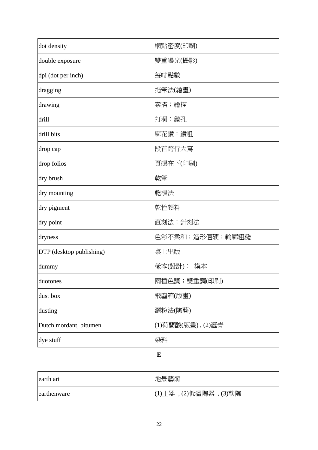| dot density              | 網點密度(印刷)          |
|--------------------------|-------------------|
| double exposure          | 雙重曝光(攝影)          |
| dpi (dot per inch)       | 每吋點數              |
| dragging                 | 拖筆法(繪畫)           |
| drawing                  | 素描;繪描             |
| drill                    | 打洞;鑽孔             |
| drill bits               | 麻花鑽;鑽咀            |
| drop cap                 | 段首跨行大寫            |
| drop folios              | 頁碼在下(印刷)          |
| dry brush                | 乾筆                |
| dry mounting             | 乾裱法               |
| dry pigment              | 乾性顏料              |
| dry point                | 直刻法;針刻法           |
| dryness                  | 色彩不柔和;造形僵硬;輪廓粗糙   |
| DTP (desktop publishing) | 桌上出版              |
| dummy                    | 樣本(設計); 模本        |
| duotones                 | 兩種色調;雙重調(印刷)      |
| dust box                 | 飛塵箱(版畫)           |
| dusting                  | 灑粉法(陶藝)           |
| Dutch mordant, bitumen   | (1)荷蘭酸(版畫), (2)瀝青 |
| dye stuff                | 染料                |

### **E**

| earth art   | 地景藝術                         |
|-------------|------------------------------|
| earthenware | (1) 土器, $(2)$ 低溫陶器, $(3)$ 軟陶 |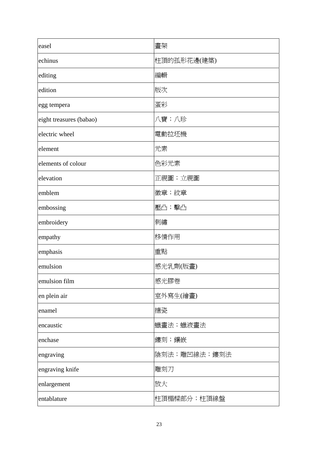| easel                   | 畫架           |
|-------------------------|--------------|
| echinus                 | 柱頂的孤形花邊(建築)  |
| editing                 | 編輯           |
| edition                 | 版次           |
| egg tempera             | 蛋彩           |
| eight treasures (babao) | 八寶;八珍        |
| electric wheel          | 電動拉坯機        |
| element                 | 元素           |
| elements of colour      | 色彩元素         |
| elevation               | 正視圖;立視圖      |
| emblem                  | 徽章;紋章        |
| embossing               | 壓凸;擊凸        |
| embroidery              | 刺繡           |
| empathy                 | 移情作用         |
| emphasis                | 重點           |
| emulsion                | 感光乳劑(版畫)     |
| emulsion film           | 感光膠卷         |
| en plein air            | 室外寫生(繪畫)     |
| enamel                  | 搪瓷           |
| encaustic               | 蠟畫法;蠟液畫法     |
| enchase                 | 鏤刻;鑲嵌        |
| engraving               | 陰刻法;雕凹線法;鏤刻法 |
| engraving knife         | 雕刻刀          |
| enlargement             | 放大           |
| entablature             | 柱頂楣樑部分;柱頂線盤  |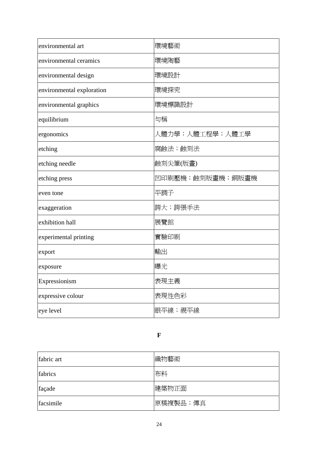| environmental art         | 環境藝術             |
|---------------------------|------------------|
| environmental ceramics    | 環境陶藝             |
| environmental design      | 環境設計             |
| environmental exploration | 環境探究             |
| environmental graphics    | 環境標識設計           |
| equilibrium               | 勻稱               |
| ergonomics                | 人體力學;人體工程學;人體工學  |
| etching                   | 腐蝕法;蝕刻法          |
| etching needle            | 蝕刻尖筆(版畫)         |
| etching press             | 凹印刷壓機;蝕刻版畫機;銅版畫機 |
| even tone                 | 平調子              |
| exaggeration              | 誇大; 誇張手法         |
| exhibition hall           | 展覽館              |
| experimental printing     | 實驗印刷             |
| export                    | 輸出               |
| exposure                  | 曝光               |
| Expressionism             | 表現主義             |
| expressive colour         | 表現性色彩            |
| eye level                 | 眼平線;視平線          |

**F** 

| fabric art | 織物藝術      |
|------------|-----------|
| fabrics    | 布料        |
| façade     | 建築物正面     |
| facsimile  | 原稿複製品; 傳真 |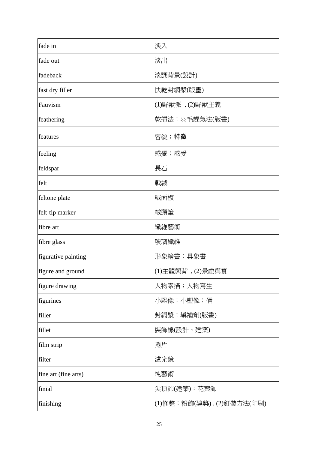| fade in              | 淡入                       |
|----------------------|--------------------------|
| fade out             | 淡出                       |
| fadeback             | 淡調背景(設計)                 |
| fast dry filler      | 快乾封網漿(版畫)                |
| Fauvism              | (1)野獸派, (2)野獸主義          |
| feathering           | 乾掃法;羽毛趕氣法(版畫)            |
| features             | 容貌;特徵                    |
| feeling              | 感覺;感受                    |
| feldspar             | 長石                       |
| felt                 | 戟絨                       |
| feltone plate        | 絨面板                      |
| felt-tip marker      | 絨頭筆                      |
| fibre art            | 纖維藝術                     |
| fibre glass          | 玻璃纖維                     |
| figurative painting  | 形象繪畫;具象畫                 |
| figure and ground    | (1)主體與背, (2)景虛與實         |
| figure drawing       | 人物素描;人物寫生                |
| figurines            | 小雕像;小塑像;俑                |
| filler               | 封網漿;塡補劑(版畫)              |
| fillet               | 装飾線(設計、建築)               |
| film strip           | 捲片                       |
| filter               | 濾光鏡                      |
| fine art (fine arts) | 純藝術                      |
| finial               | 尖頂飾(建築);花葉飾              |
| finishing            | (1)修整;粉飾(建築),(2)釘裝方法(印刷) |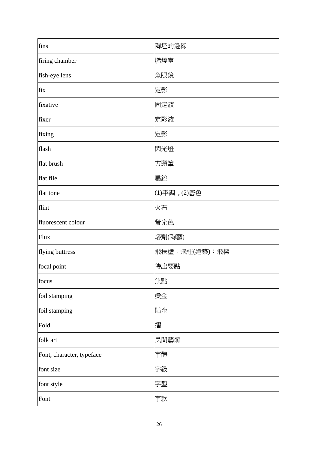| fins                      | 陶坯的邊緣         |
|---------------------------|---------------|
| firing chamber            | 燃燒室           |
| fish-eye lens             | 魚眼鏡           |
| fix                       | 定影            |
| fixative                  | 固定液           |
| fixer                     | 定影液           |
| fixing                    | 定影            |
| flash                     | 閃光燈           |
| flat brush                | 方頭筆           |
| flat file                 | 扁銼            |
| flat tone                 | (1)平調, (2)底色  |
| flint                     | 火石            |
| fluorescent colour        | 螢光色           |
| Flux                      | 熔劑(陶藝)        |
| flying buttress           | 飛扶壁;飛柱(建築);飛樑 |
| focal point               | 特出要點          |
| focus                     | 焦點            |
| foil stamping             | 燙金            |
| foil stamping             | 貼金            |
| Fold                      | 摺             |
| folk art                  | 民間藝術          |
| Font, character, typeface | 字體            |
| font size                 | 字級            |
| font style                | 字型            |
| Font                      | 字款            |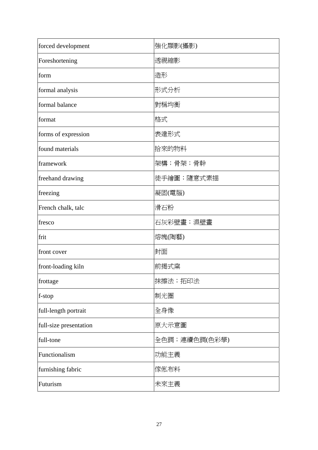| forced development     | 強化顯影(攝影)      |
|------------------------|---------------|
| Foreshortening         | 透視縮影          |
| form                   | 造形            |
| formal analysis        | 形式分析          |
| formal balance         | 對稱均衡          |
| format                 | 格式            |
| forms of expression    | 表達形式          |
| found materials        | 拾來的物料         |
| framework              | 架構;骨架;骨幹      |
| freehand drawing       | 徒手繪圖;隨意式素描    |
| freezing               | 凝固(電腦)        |
| French chalk, talc     | 滑石粉           |
| fresco                 | 石灰彩壁畫;濕壁畫     |
| frit                   | 熔塊(陶藝)        |
| front cover            | 封面            |
| front-loading kiln     | 前揭式窯          |
| frottage               | 抹擦法;拓印法       |
| f-stop                 | 制光圈           |
| full-length portrait   | 全身像           |
| full-size presentation | 原大示意圖         |
| full-tone              | 全色調;連續色調(色彩學) |
| Functionalism          | 功能主義          |
| furnishing fabric      | 傢俬布料          |
| Futurism               | 未來主義          |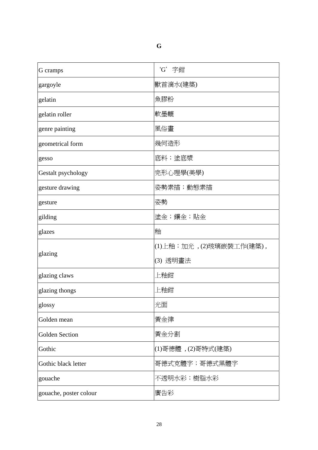|        | o.           |
|--------|--------------|
| ×<br>× | ×<br>٠<br>۰. |

| G cramps               | 'G' 字鉗                  |
|------------------------|-------------------------|
| gargoyle               | 獸首滴水(建築)                |
| gelatin                | 魚膠粉                     |
| gelatin roller         | 軟墨轆                     |
| genre painting         | 風俗畫                     |
| geometrical form       | 幾何造形                    |
| gesso                  | 底料;塗底漿                  |
| Gestalt psychology     | 完形心理學(美學)               |
| gesture drawing        | 姿勢素描;動態素描               |
| gesture                | 姿勢                      |
| gilding                | 塗金;鑲金;貼金                |
| glazes                 | 釉                       |
|                        | (1)上釉;加光,(2)玻璃嵌裝工作(建築), |
| glazing                | (3) 透明畫法                |
| glazing claws          | 上釉鉗                     |
| glazing thongs         | 上釉鉗                     |
| glossy                 | 光面                      |
| Golden mean            | 黃金律                     |
| <b>Golden Section</b>  | 黃金分割                    |
| Gothic                 | (1)哥德體, (2)哥特式(建築)      |
| Gothic black letter    | 哥德式克體字;哥德式黑體字           |
| gouache                | 不透明水彩;樹脂水彩              |
| gouache, poster colour | 廣告彩                     |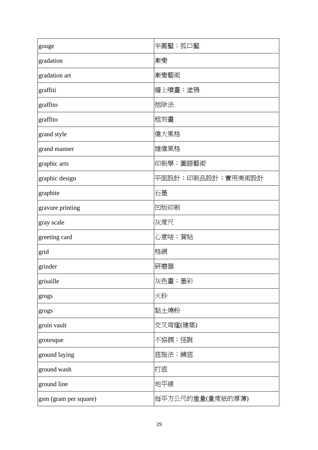| gouge                 | 半圓鑿; 弧口鑿          |
|-----------------------|-------------------|
| gradation             | 漸變                |
| gradation art         | 漸變藝術              |
| graffiti              | 牆上噴畫;塗鴉           |
| graffito              | 括除法               |
| graffito              | 粗刻畫               |
| grand style           | 偉大風格              |
| grand manner          | 雄偉風格              |
| graphic arts          | 印刷學;圖語藝術          |
| graphic design        | 平面設計;印刷品設計;實用美術設計 |
| graphite              | 石墨                |
| gravure printing      | 凹版印刷              |
| gray scale            | 灰度尺               |
| greeting card         | 心意咭;賀帖            |
| grid                  | 格網                |
| grinder               | 硏磨器               |
| grisaille             | 灰色畫;墨彩            |
| grogs                 | 火砂                |
| grogs                 | 黏土燒粉              |
| groin vault           | 交叉穹窿(建築)          |
| grotesque             | 不協調;怪誕            |
| ground laying         | 底施法;鋪底            |
| ground wash           | 打底                |
| ground line           | 地平線               |
| gsm (gram per square) | 每平方公尺的重量(量度紙的厚薄)  |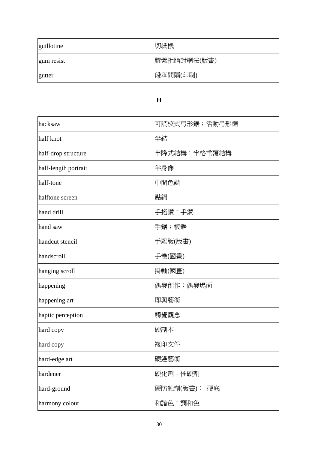| guillotine | 切紙機         |
|------------|-------------|
| gum resist | 膠漿拒脂封網法(版畫) |
| gutter     | 段落間隔(印刷)    |

## **H**

| hacksaw              | 可調校式弓形鋸;活動弓形鋸   |
|----------------------|-----------------|
| half knot            | 半結              |
| half-drop structure  | 半降式結構;半格重覆結構    |
| half-length portrait | 半身像             |
| half-tone            | 中間色調            |
| halftone screen      | 點網              |
| hand drill           | 手搖鑽;手鑽          |
| hand saw             | 手鋸;板鋸           |
| handcut stencil      | 手雕版(版畫)         |
| handscroll           | 手卷(國畫)          |
| hanging scroll       | 掛軸(國畫)          |
| happening            | 偶發創作;偶發場面       |
| happening art        | 即興藝術            |
| haptic perception    | 觸覺觀念            |
| hard copy            | 硬副本             |
| hard copy            | 複印文件            |
| hard-edge art        | 硬邊藝術            |
| hardener             | 硬化劑;催硬劑         |
| hard-ground          | 硬防蝕劑(版畫);<br>硬底 |
| harmony colour       | 和諧色;調和色         |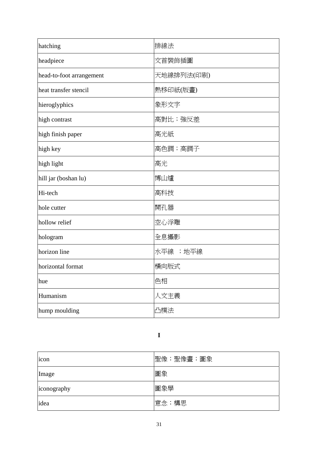| hatching                 | 排線法        |
|--------------------------|------------|
| headpiece                | 文首裝飾插圖     |
| head-to-foot arrangement | 天地線排列法(印刷) |
| heat transfer stencil    | 熱移印紙(版畫)   |
| hieroglyphics            | 象形文字       |
| high contrast            | 高對比; 強反差   |
| high finish paper        | 高光紙        |
| high key                 | 高色調;高調子    |
| high light               | 高光         |
| hill jar (boshan lu)     | 博山爐        |
| Hi-tech                  | 高科技        |
| hole cutter              | 開孔器        |
| hollow relief            | 空心浮雕       |
| hologram                 | 全息攝影       |
| horizon line             | 水平線 ;地平線   |
| horizontal format        | 橫向版式       |
| hue                      | 色相         |
| Humanism                 | 人文主義       |
| hump moulding            | 凸模法        |

**I** 

| icon        | 聖像;聖像畫;圖象 |
|-------------|-----------|
| Image       | 圖象        |
| iconography | 圖象學       |
| idea        | 意念;構思     |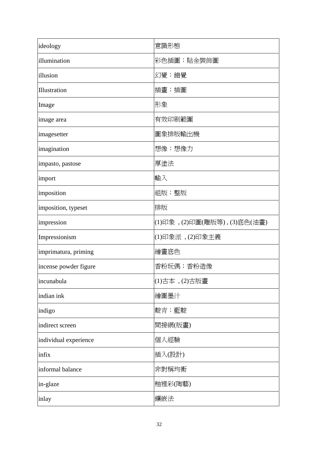| ideology              | 意識形態                       |
|-----------------------|----------------------------|
| illumination          | 彩色插圖;貼金裝飾圖                 |
| illusion              | 幻覺;錯覺                      |
| Illustration          | 插畫;插圖                      |
| Image                 | 形象                         |
| image area            | 有效印刷範圍                     |
| imagesetter           | 圖象排版輸出機                    |
| imagination           | 想像;想像力                     |
| impasto, pastose      | 厚塗法                        |
| import                | 輸入                         |
| imposition            | 組版;整版                      |
| imposition, typeset   | 排版                         |
| impression            | (1)印象,(2)印圖(雕版等),(3)底色(油畫) |
| Impressionism         | (1)印象派, (2)印象主義            |
| imprimatura, priming  | 繪畫底色                       |
| incense powder figure | 香粉玩偶;香粉造像                  |
| incunabula            | (1)古本, (2)古版畫              |
| indian ink            | 繪圖墨汁                       |
| indigo                | 靛青;藍靛                      |
| indirect screen       | 間接網(版畫)                    |
| individual experience | 個人經驗                       |
| infix                 | 插入(設計)                     |
| informal balance      | 非對稱均衡                      |
| in-glaze              | 釉裡彩(陶藝)                    |
| inlay                 | 鑲嵌法                        |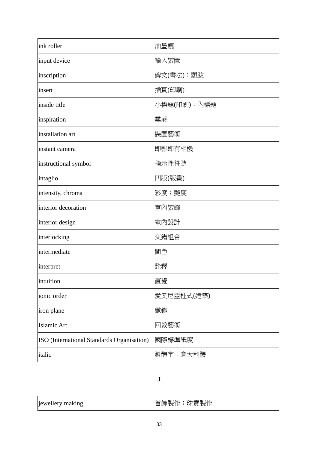| ink roller                                 | 油墨轆         |
|--------------------------------------------|-------------|
| input device                               | 輸入裝置        |
| inscription                                | 碑文(書法);題跋   |
| insert                                     | 插頁(印刷)      |
| inside title                               | 小標題(印刷);內標題 |
| inspiration                                | 靈感          |
| installation art                           | 裝置藝術        |
| instant camera                             | 即影即有相機      |
| instructional symbol                       | 指示性符號       |
| intaglio                                   | 凹版(版畫)      |
| intensity, chroma                          | 彩度;艷度       |
| interior decoration                        | 室內裝飾        |
| interior design                            | 室內設計        |
| interlocking                               | 交錯組合        |
| intermediate                               | 間色          |
| interpret                                  | 詮釋          |
| intuition                                  | 直覺          |
| ionic order                                | 愛奧尼亞柱式(建築)  |
| iron plane                                 | 鐵鉋          |
| Islamic Art                                | 回教藝術        |
| ISO (International Standards Organisation) | 國際標準紙度      |
| italic                                     | 斜體字; 意大利體   |

# **J**

| jewellery making | 珠寶製作<br>首飾製作 |  |
|------------------|--------------|--|
|------------------|--------------|--|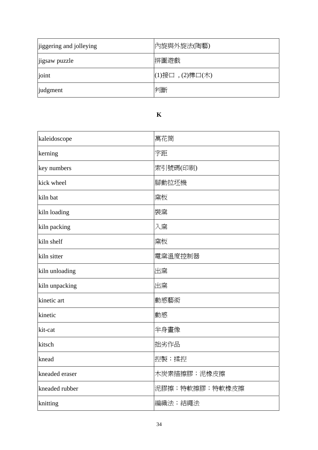| jiggering and jolleying | 內旋與外旋法(陶藝)            |
|-------------------------|-----------------------|
| jigsaw puzzle           | 拼圖遊戲                  |
| joint                   | $(1)$ 接口, $(2)$ 榫口(木) |
| judgment                | 判斷                    |

### **K**

| kaleidoscope   | 萬花筒            |
|----------------|----------------|
| kerning        | 字距             |
| key numbers    | 索引號碼(印刷)       |
| kick wheel     | 腳動拉坯機          |
| kiln bat       | 窯板             |
| kiln loading   | 裝窯             |
| kiln packing   | 入窯             |
| kiln shelf     | 窯板             |
| kiln sitter    | 電窯溫度控制器        |
| kiln unloading | 出窯             |
| kiln unpacking | 出窯             |
| kinetic art    | 動感藝術           |
| kinetic        | 動感             |
| kit-cat        | 半身畫像           |
| kitsch         | 拙劣作品           |
| knead          | 捏製;揉捏          |
| kneaded eraser | 木炭素描擦膠;泥橡皮擦    |
| kneaded rubber | 泥膠擦;特軟擦膠;特軟橡皮擦 |
| knitting       | 編織法;結繩法        |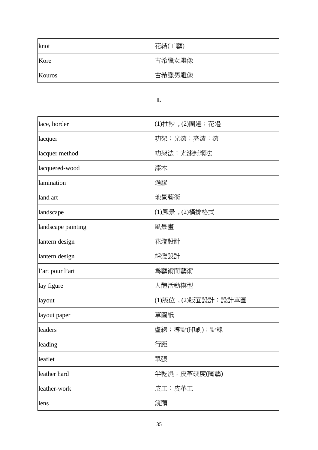| knot   | 花結(工藝) |
|--------|--------|
| Kore   | 古希臘女雕像 |
| Kouros | 古希臘男雕像 |

# **L**

| lace, border       | (1)抽紗, (2)圍邊; 花邊    |
|--------------------|---------------------|
| lacquer            | 叻架;光漆;亮漆;漆          |
| lacquer method     | 叻架法;光漆封網法           |
| lacquered-wood     | 漆木                  |
| lamination         | 過膠                  |
| land art           | 地景藝術                |
| landscape          | (1)風景 , (2)橫排格式     |
| landscape painting | 風景畫                 |
| lantern design     | 花燈設計                |
| lantern design     | 綵燈設計                |
| l'art pour l'art   | 爲藝術而藝術              |
| lay figure         | 人體活動模型              |
| layout             | (1)版位, (2)版面設計;設計草圖 |
| layout paper       | 草圖紙                 |
| leaders            | 虛線;導點(印刷);點線        |
| leading            | 行距                  |
| leaflet            | 單張                  |
| leather hard       | 半乾濕;皮革硬度(陶藝)        |
| leather-work       | 皮工;皮革工              |
| lens               | 鏡頭                  |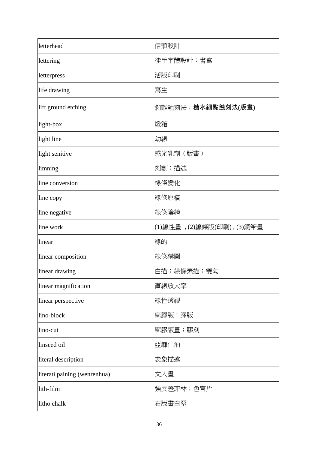| letterhead                   | 信頭設計                       |
|------------------------------|----------------------------|
| lettering                    | 徒手字體設計;書寫                  |
| letterpress                  | 活版印刷                       |
| life drawing                 | 寫生                         |
| lift ground etching          | 剝離蝕刻法;糖水細點蝕刻法(版畫)          |
| light-box                    | 燈箱                         |
| light line                   | 幼線                         |
| light senitive               | 感光乳劑(版畫)                   |
| limning                      | 刻劃;描述                      |
| line conversion              | 線條變化                       |
| line copy                    | 線條原稿                       |
| line negative                | 線條陰繪                       |
| line work                    | (1)線性畫, (2)線條版(印刷), (3)鋼筆畫 |
| linear                       | 線的                         |
| linear composition           | 線條構圖                       |
| linear drawing               | 白描;線條素描;雙勾                 |
| linear magnification         | 直線放大率                      |
| linear perspective           | 線性透視                       |
| lino-block                   | 麻膠版;膠版                     |
| lino-cut                     | 麻膠版畫;膠刻                    |
| linseed oil                  | 亞麻仁油                       |
| literal description          | 表象描述                       |
| literati paining (wenrenhua) | 文人畫                        |
| lith-film                    | 強反差菲林;色盲片                  |
| litho chalk                  | 石版畫白堊                      |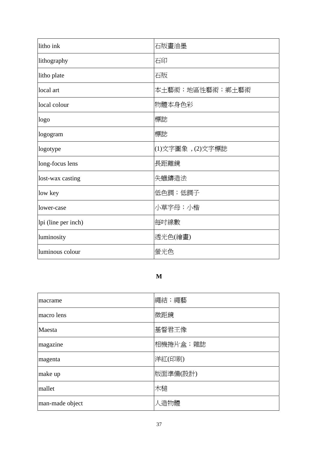| litho ink           | 石版畫油墨            |
|---------------------|------------------|
| lithography         | 石印               |
| litho plate         | 石版               |
| local art           | 本土藝術;地區性藝術;鄉土藝術  |
| local colour        | 物體本身色彩           |
| logo                | 標誌               |
| logogram            | 標誌               |
| logotype            | (1)文字圖象, (2)文字標誌 |
| long-focus lens     | 長距離鏡             |
| lost-wax casting    | 失蠟鑄造法            |
| low key             | 低色調;低調子          |
| lower-case          | 小草字母;小楷          |
| lpi (line per inch) | 每吋線數             |
| luminosity          | 透光色(繪畫)          |
| luminous colour     | 螢光色              |

## **M**

| macrame         | 繩結;繩藝    |
|-----------------|----------|
| macro lens      | 微距鏡      |
| Maesta          | 基督君王像    |
| magazine        | 相機捲片盒;雜誌 |
| magenta         | 洋紅(印刷)   |
| make up         | 版面準備(設計) |
| mallet          | 木槌       |
| man-made object | 人造物體     |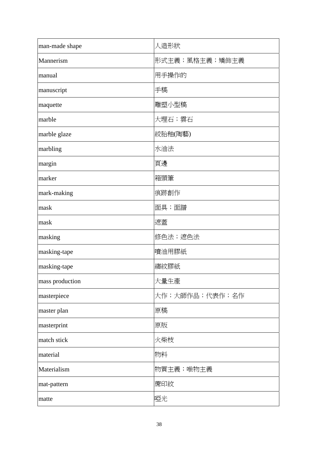| man-made shape  | 人造形狀           |
|-----------------|----------------|
| Mannerism       | 形式主義;風格主義;矯飾主義 |
| manual          | 用手操作的          |
| manuscript      | 手稿             |
| maquette        | 雕塑小型稿          |
| marble          | 大理石;雲石         |
| marble glaze    | 絞胎釉(陶藝)        |
| marbling        | 水油法            |
| margin          | 頁邊             |
| marker          | 箱頭筆            |
| mark-making     | 痕跡創作           |
| mask            | 面具;面譜          |
| mask            | 遮蓋             |
| masking         | 修色法;遮色法        |
| masking-tape    | 噴油用膠紙          |
| masking-tape    | 縐紋膠紙           |
| mass production | 大量生產           |
| masterpiece     | 大作;大師作品;代表作;名作 |
| master plan     | 原稿             |
| masterprint     | 原版             |
| match stick     | 火柴枝            |
| material        | 物料             |
| Materialism     | 物質主義;唯物主義      |
| mat-pattern     | 蓆印紋            |
| matte           | 啞光             |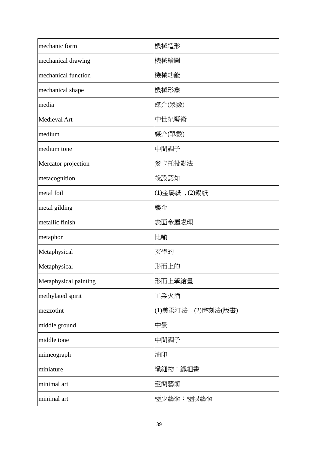| mechanic form         | 機械造形                 |
|-----------------------|----------------------|
| mechanical drawing    | 機械繪圖                 |
| mechanical function   | 機械功能                 |
| mechanical shape      | 機械形象                 |
| media                 | 媒介(眾數)               |
| Medieval Art          | 中世紀藝術                |
| medium                | 媒介(單數)               |
| medium tone           | 中間調子                 |
| Mercator projection   | 麥卡托投影法               |
| metacognition         | 後設認知                 |
| metal foil            | (1)金屬紙, (2)錫紙        |
| metal gilding         | 鏤金                   |
| metallic finish       | 表面金屬處理               |
| metaphor              | 比喻                   |
| Metaphysical          | 玄學的                  |
| Metaphysical          | 形而上的                 |
| Metaphysical painting | 形而上學繪畫               |
| methylated spirit     | 工業火酒                 |
| mezzotint             | (1)美柔汀法 , (2)磨刻法(版畫) |
| middle ground         | 中景                   |
| middle tone           | 中間調子                 |
| mimeograph            | 油印                   |
| miniature             | 纖細物;纖細畫              |
| minimal art           | 至簡藝術                 |
| minimal art           | 極少藝術;極限藝術            |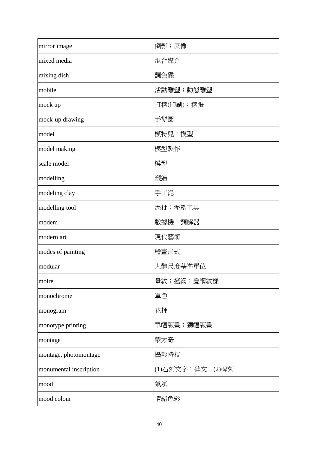| mirror image           | 倒影;反像            |
|------------------------|------------------|
| mixed media            | 混合媒介             |
| mixing dish            | 調色碟              |
| mobile                 | 活動雕塑;動態雕塑        |
| mock up                | 打樣(印刷);樣張        |
| mock-up drawing        | 手辦圖              |
| model                  | 模特兒;模型           |
| model making           | 模型製作             |
| scale model            | 模型               |
| modelling              | 塑造               |
| modeling clay          | 手工泥              |
| modelling tool         | 泥批;泥塑工具          |
| modem                  | 數據機;調解器          |
| modern art             | 現代藝術             |
| modes of painting      | 繪畫形式             |
| modular                | 人體尺度基準單位         |
| moiré                  | 暈紋;撞網;疊網紋樣       |
| monochrome             | 單色               |
| monogram               | 花押               |
| monotype printing      | 單幅版畫;獨幅版畫        |
| montage                | 蒙太奇              |
| montage, photomontage  | 攝影特技             |
| monumental inscription | (1)石刻文字;碑文,(2)碑刻 |
| mood                   | 氣氛               |
| mood colour            | 情緒色彩             |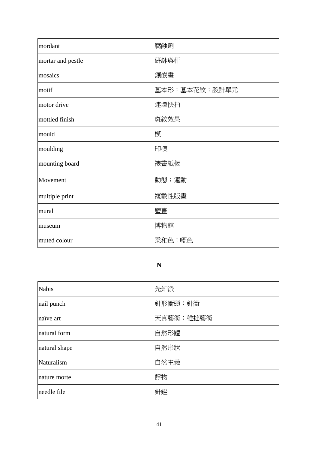| mordant           | 腐蝕劑           |
|-------------------|---------------|
| mortar and pestle | 研缽與杆          |
| mosaics           | 鑲嵌畫           |
| motif             | 基本形;基本花紋;設計單元 |
| motor drive       | 連環快拍          |
| mottled finish    | 斑紋效果          |
| mould             | 模             |
| moulding          | 印模            |
| mounting board    | 裱畫紙板          |
| Movement          | 動態;運動         |
| multiple print    | 複數性版畫         |
| mural             | 壁畫            |
| museum            | 博物館           |
| muted colour      | 柔和色; 啞色       |

# **N**

| <b>Nabis</b>  | 先知派       |
|---------------|-----------|
| nail punch    | 針形衝頭;針衝   |
| naïve art     | 天真藝術;稚拙藝術 |
| natural form  | 自然形體      |
| natural shape | 自然形狀      |
| Naturalism    | 自然主義      |
| nature morte  | 靜物        |
| needle file   | 針銼        |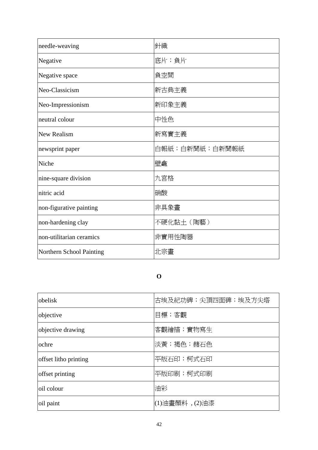| needle-weaving           | 針織             |
|--------------------------|----------------|
| Negative                 | 底片;負片          |
| Negative space           | 負空間            |
| Neo-Classicism           | 新古典主義          |
| Neo-Impressionism        | 新印象主義          |
| neutral colour           | 中性色            |
| <b>New Realism</b>       | 新寫實主義          |
| newsprint paper          | 白報紙;白新聞紙;白新聞報紙 |
| Niche                    | 壁龕             |
| nine-square division     | 九宮格            |
| nitric acid              | 硝酸             |
| non-figurative painting  | 非具象畫           |
| non-hardening clay       | 不硬化黏土(陶藝)      |
| non-utilitarian ceramics | 非實用性陶器         |
| Northern School Painting | 北宗畫            |

# **O**

| lobelisk              | 古埃及紀功碑; 尖頂四面碑; 埃及方尖塔 |
|-----------------------|----------------------|
| objective             | 目標; 客觀               |
| objective drawing     | 客觀繪描;實物寫生            |
| ochre                 | 淡黃;褐色;赭石色            |
| offset litho printing | 平版石印;柯式石印            |
| offset printing       | 平版印刷;柯式印刷            |
| oil colour            | 油彩                   |
| oil paint             | (1)油畫顏料, (2)油漆       |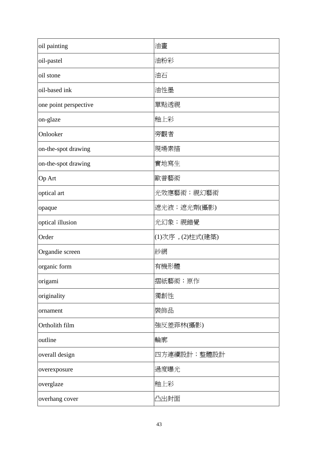| oil painting          | 油畫               |
|-----------------------|------------------|
| oil-pastel            | 油粉彩              |
| oil stone             | 油石               |
| oil-based ink         | 油性墨              |
| one point perspective | 單點透視             |
| on-glaze              | 釉上彩              |
| Onlooker              | 旁觀者              |
| on-the-spot drawing   | 現場素描             |
| on-the-spot drawing   | 實地寫生             |
| Op Art                | 歐普藝術             |
| optical art           | 光效應藝術;視幻藝術       |
| opaque                | 遮光液;遮光劑(攝影)      |
| optical illusion      | 光幻象;視錯覺          |
| Order                 | (1)次序, (2)柱式(建築) |
| Organdie screen       | 紗網               |
| organic form          | 有機形體             |
| origami               | 摺紙藝術;原作          |
| originality           | 獨創性              |
| ornament              | 裝飾品              |
| Ortholith film        | 強反差菲林(攝影)        |
| outline               | 輪廓               |
| overall design        | 四方連續設計;整體設計      |
| overexposure          | 過度曝光             |
| overglaze             | 釉上彩              |
| overhang cover        | 凸出封面             |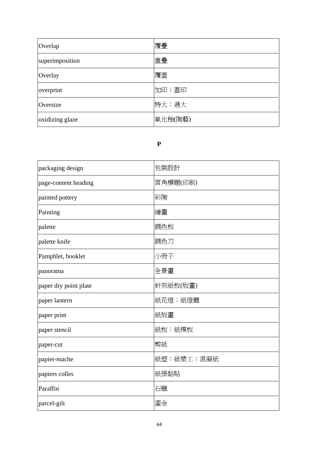| Overlap         | 覆疊      |
|-----------------|---------|
| superimposition | 重疊      |
| Overlay         | 覆蓋      |
| overprint       | 加印;蓋印   |
| Oversize        | 特大; 過大  |
| oxidizing glaze | 氧化釉(陶藝) |

### **P**

| packaging design      | 包裝設計       |
|-----------------------|------------|
| page-content heading  | 頁角標題(印刷)   |
| painted pottery       | 彩陶         |
| Painting              | 繪畫         |
| palette               | 調色板        |
| palette knife         | 調色刀        |
| Pamphlet, booklet     | 小冊子        |
| panorama              | 全景畫        |
| paper dry point plate | 針刻紙板(版畫)   |
| paper lantern         | 紙花燈;紙燈籠    |
| paper print           | 紙版畫        |
| paper stencil         | 紙板;紙模板     |
| paper-cut             | 剪紙         |
| papier-mache          | 紙塑;紙漿工;混凝紙 |
| papiers colles        | 紙張黏貼       |
| Paraffin              | 石蠟         |
| parcel-gilt           | 鎏金         |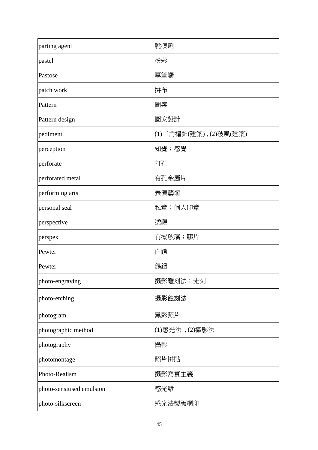| parting agent             | 脫模劑                   |
|---------------------------|-----------------------|
| pastel                    | 粉彩                    |
| Pastose                   | 厚筆觸                   |
| patch work                | 拼布                    |
| Pattern                   | 圖案                    |
| Pattern design            | 圖案設計                  |
| pediment                  | (1)三角楣飾(建築),(2)破風(建築) |
| perception                | 知覺;感覺                 |
| perforate                 | 打孔                    |
| perforated metal          | 有孔金屬片                 |
| performing arts           | 表演藝術                  |
| personal seal             | 私章;個人印章               |
| perspective               | 透視                    |
| perspex                   | 有機玻璃;膠片               |
| Pewter                    | 白躥                    |
| Pewter                    | 錫鑞                    |
| photo-engraving           | 攝影雕刻法;光刻              |
| photo-etching             | 攝影蝕刻法                 |
| photogram                 | 黑影照片                  |
| photographic method       | (1)感光法, (2)攝影法        |
| photography               | 攝影                    |
| photomontage              | 照片拼貼                  |
| Photo-Realism             | 攝影寫實主義                |
| photo-sensitised emulsion | 感光漿                   |
| photo-silkscreen          | 感光法製版網印               |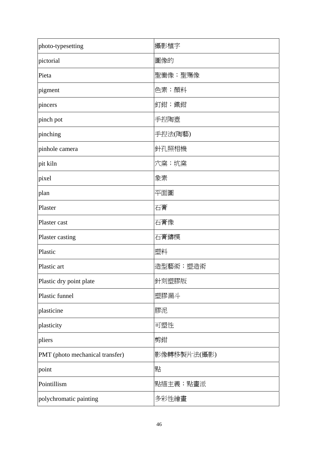| photo-typesetting               | 攝影植字        |
|---------------------------------|-------------|
| pictorial                       | 圖像的         |
| Pieta                           | 聖慟像;聖殤像     |
| pigment                         | 色素;顏料       |
| pincers                         | 釘鉗; 鐵鉗      |
| pinch pot                       | 手揑陶壺        |
| pinching                        | 手揑法(陶藝)     |
| pinhole camera                  | 針孔照相機       |
| pit kiln                        | 穴窯;坑窯       |
| pixel                           | 象素          |
| plan                            | 平面圖         |
| Plaster                         | 石膏          |
| Plaster cast                    | 石膏像         |
| Plaster casting                 | 石膏鑄模        |
| Plastic                         | 塑料          |
| Plastic art                     | 造型藝術;塑造術    |
| Plastic dry point plate         | 針刻塑膠版       |
| Plastic funnel                  | 塑膠漏斗        |
| plasticine                      | 膠泥          |
| plasticity                      | 可塑性         |
| pliers                          | 剪鉗          |
| PMT (photo mechanical transfer) | 影像轉移製片法(攝影) |
| point                           | 點           |
| Pointillism                     | 點描主義;點畫派    |
| polychromatic painting          | 多彩性繪畫       |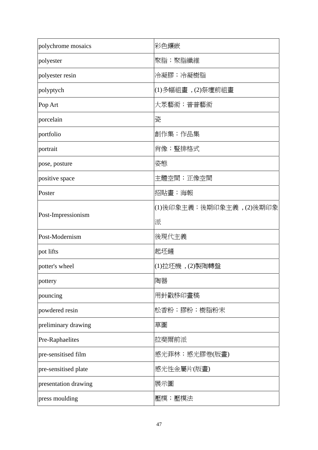| polychrome mosaics   | 彩色鑲嵌                      |
|----------------------|---------------------------|
| polyester            | 聚脂;聚脂纖維                   |
| polyester resin      | 冷凝膠;冷凝樹脂                  |
| polyptych            | (1)多幅組畫﹐(2)祭壇前組畫          |
| Pop Art              | 大眾藝術;普普藝術                 |
| porcelain            | 瓷                         |
| portfolio            | 創作集;作品集                   |
| portrait             | 肖像;豎排格式                   |
| pose, posture        | 姿態                        |
| positive space       | 主體空間;正像空間                 |
| Poster               | 招貼畫;海報                    |
| Post-Impressionism   | (1)後印象主義;後期印象主義 , (2)後期印象 |
|                      | 派                         |
| Post-Modernism       | 後現代主義                     |
| pot lifts            | 起坯鏟                       |
| potter's wheel       | (1)拉坯機, (2)製陶轉盤           |
| pottery              | 陶器                        |
| pouncing             | 用針戳移印畫稿                   |
| powdered resin       | 松香粉;膠粉;樹脂粉末               |
| preliminary drawing  | 草圖                        |
| Pre-Raphaelites      | 拉斐爾前派                     |
| pre-sensitised film  | 感光菲林;感光膠卷(版畫)             |
| pre-sensitised plate | 感光性金屬片(版畫)                |
| presentation drawing | 展示圖                       |
| press moulding       | 壓模;壓模法                    |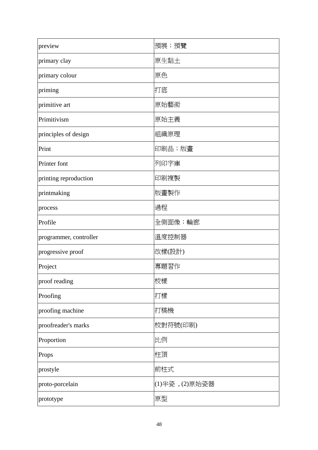| preview                | 預展;預覽          |
|------------------------|----------------|
| primary clay           | 原生黏土           |
| primary colour         | 原色             |
| priming                | 打底             |
| primitive art          | 原始藝術           |
| Primitivism            | 原始主義           |
| principles of design   | 組織原理           |
| Print                  | 印刷品;版畫         |
| <b>Printer</b> font    | 列印字庫           |
| printing reproduction  | 印刷複製           |
| printmaking            | 版畫製作           |
| process                | 過程             |
| Profile                | 全側面像;輪廊        |
| programmer, controller | 溫度控制器          |
| progressive proof      | 改樣(設計)         |
| Project                | 專題習作           |
| proof reading          | 校樣             |
| Proofing               | 打樣             |
| proofing machine       | 打稿機            |
| proofreader's marks    | 校對符號(印刷)       |
| Proportion             | 比例             |
| Props                  | 柱頂             |
| prostyle               | 前柱式            |
| proto-porcelain        | (1)半瓷, (2)原始瓷器 |
| prototype              | 原型             |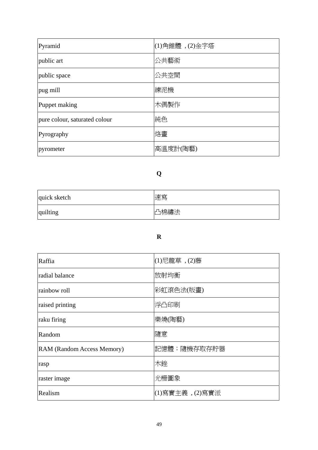| Pyramid                       | $(1)$ 角錐體, $(2)$ 金字塔 |
|-------------------------------|----------------------|
| public art                    | 公共藝術                 |
| public space                  | 公共空間                 |
| pug mill                      | 練泥機                  |
| Puppet making                 | 木偶製作                 |
| pure colour, saturated colour | 純色                   |
| Pyrography                    | 烙畫                   |
| pyrometer                     | 高溫度計(陶藝)             |

# **Q**

| quick sketch | 速寫   |
|--------------|------|
| quilting     | 凸棉繡法 |

### **R**

| Raffia                     | (1)尼龍草, (2)藤    |
|----------------------------|-----------------|
| radial balance             | 放射均衡            |
| rainbow roll               | 彩虹滾色法(版畫)       |
| raised printing            | 浮凸印刷            |
| raku firing                | 樂燒(陶藝)          |
| Random                     | 隨意              |
| RAM (Random Access Memory) | 記憶體;隨機存取存貯器     |
| rasp                       | 木銼              |
| raster image               | 光柵圖象            |
| Realism                    | (1)寫實主義, (2)寫實派 |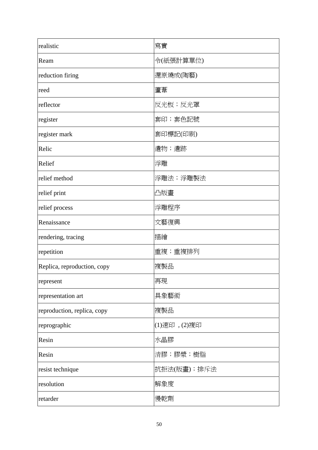| realistic                   | 寫實           |
|-----------------------------|--------------|
| Ream                        | 令(紙張計算單位)    |
| reduction firing            | 還原燒成(陶藝)     |
| reed                        | 蘆葦           |
| reflector                   | 反光板;反光罩      |
| register                    | 套印;套色記號      |
| register mark               | 套印標記(印刷)     |
| Relic                       | 遺物;遺跡        |
| Relief                      | 浮雕           |
| relief method               | 浮雕法;浮雕製法     |
| relief print                | 凸版畫          |
| relief process              | 浮雕程序         |
| Renaissance                 | 文藝復興         |
| rendering, tracing          | 描繪           |
| repetition                  | 重複;重複排列      |
| Replica, reproduction, copy | 複製品          |
| represent                   | 再現           |
| representation art          | 具象藝術         |
| reproduction, replica, copy | 複製品          |
| reprographic                | (1)速印, (2)複印 |
| Resin                       | 水晶膠          |
| Resin                       | 清膠;膠漿;樹脂     |
| resist technique            | 抗拒法(版畫);排斥法  |
| resolution                  | 解象度          |
| retarder                    | 慢乾劑          |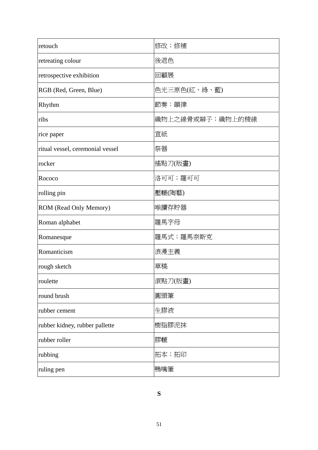| retouch                          | 修改;修補            |
|----------------------------------|------------------|
| retreating colour                | 後退色              |
| retrospective exhibition         | 回顧展              |
| RGB (Red, Green, Blue)           | 色光三原色(紅、綠、藍)     |
| Rhythm                           | 節奏;韻律            |
| ribs                             | 織物上之線骨或辮子;織物上的稜線 |
| rice paper                       | 宣紙               |
| ritual vessel, ceremonial vessel | 祭器               |
| rocker                           | 搖點刀(版畫)          |
| Rococo                           | 洛可可; 羅可可         |
| rolling pin                      | 壓轆(陶藝)           |
| ROM (Read Only Memory)           | 唯讀存貯器            |
| Roman alphabet                   | 羅馬字母             |
| Romanesque                       | 羅馬式;羅馬奈斯克        |
| Romanticism                      | 浪漫主義             |
| rough sketch                     | 草稿               |
| roulette                         | 滾點刀(版畫)          |
| round brush                      | 圓頭筆              |
| rubber cement                    | 生膠液              |
| rubber kidney, rubber pallette   | 樹脂膠泥抹            |
| rubber roller                    | 膠轆               |
| rubbing                          | 拓本;拓印            |
| ruling pen                       | 鴨嘴筆              |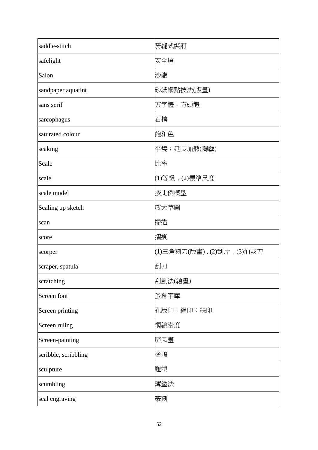| saddle-stitch        | 騎縫式裝訂                        |
|----------------------|------------------------------|
| safelight            | 安全燈                          |
| Salon                | 沙龍                           |
| sandpaper aquatint   | 砂紙網點技法(版畫)                   |
| sans serif           | 方字體;方頭體                      |
| sarcophagus          | 石棺                           |
| saturated colour     | 飽和色                          |
| scaking              | 平燒;延長加熱(陶藝)                  |
| Scale                | 比率                           |
| scale                | (1)等級, (2)標準尺度               |
| scale model          | 按比例模型                        |
| Scaling up sketch    | 放大草圖                         |
| scan                 | 掃描                           |
| score                | 摺痕                           |
| scorper              | (1)三角刻刀(版畫) , (2)刮片 , (3)油灰刀 |
| scraper, spatula     | 刮刀                           |
| scratching           | 刮劃法(繪畫)                      |
| Screen font          | 螢幕字庫                         |
| Screen printing      | 孔版印;網印;絲印                    |
| Screen ruling        | 網線密度                         |
| Screen-painting      | 屏風畫                          |
| scribble, scribbling | 塗鴉                           |
| sculpture            | 雕塑                           |
| scumbling            | 薄塗法                          |
| seal engraving       | 篆刻                           |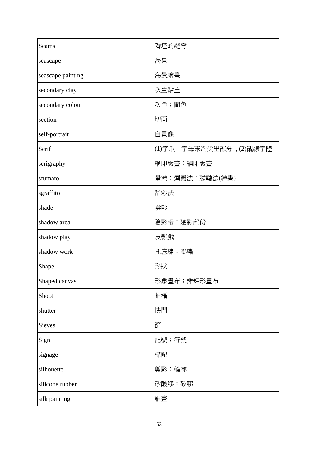| Seams             | 陶坯的縫脊                  |
|-------------------|------------------------|
| seascape          | 海景                     |
| seascape painting | 海景繪畫                   |
| secondary clay    | 次生黏土                   |
| secondary colour  | 次色;間色                  |
| section           | 切面                     |
| self-portrait     | 自畫像                    |
| Serif             | (1)字爪;字母末端尖出部分,(2)襯線字體 |
| serigraphy        | 網印版畫;絹印版畫              |
| sfumato           | 暈塗;煙霧法;矇矓法(繪畫)         |
| sgraffito         | 刮彩法                    |
| shade             | 陰影                     |
| shadow area       | 陰影帶;陰影部份               |
| shadow play       | 皮影戲                    |
| shadow work       | 托底繡;影繡                 |
| Shape             | 形狀                     |
| Shaped canvas     | 形象畫布; 非矩形畫布            |
| Shoot             | 拍攝                     |
| shutter           | 快門                     |
| Sieves            | 篩                      |
| Sign              | 記號;符號                  |
| signage           | 標記                     |
| silhouette        | 剪影;輪廓                  |
| silicone rubber   | 矽酸膠;矽膠                 |
| silk painting     | 絹畫                     |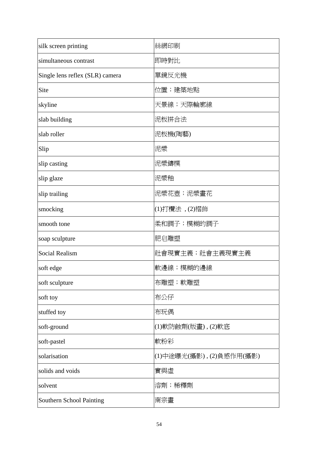| silk screen printing            | 絲網印刷                    |
|---------------------------------|-------------------------|
| simultaneous contrast           | 即時對比                    |
| Single lens reflex (SLR) camera | 單鏡反光機                   |
| Site                            | 位置;建築地點                 |
| skyline                         | 天景線;天際輪廓線               |
| slab building                   | 泥板拼合法                   |
| slab roller                     | 泥板機(陶藝)                 |
| Slip                            | 泥漿                      |
| slip casting                    | 泥漿鑄模                    |
| slip glaze                      | 泥漿釉                     |
| slip trailing                   | 泥漿花壺;泥漿畫花               |
| smocking                        | (1)打欖法,(2)褶飾            |
| smooth tone                     | 柔和調子;模糊的調子              |
| soap sculpture                  | 肥皂雕塑                    |
| <b>Social Realism</b>           | 社會現實主義;社會主義現實主義         |
| soft edge                       | 軟邊線;模糊的邊線               |
| soft sculpture                  | 布雕塑;軟雕塑                 |
| soft toy                        | 布公仔                     |
| stuffed toy                     | 布玩偶                     |
| soft-ground                     | (1)軟防蝕劑(版畫), (2)軟底      |
| soft-pastel                     | 軟粉彩                     |
| solarisation                    | (1)中途曝光(攝影),(2)負感作用(攝影) |
| solids and voids                | 實與虛                     |
| solvent                         | 溶劑;稀釋劑                  |
| Southern School Painting        | 南宗畫                     |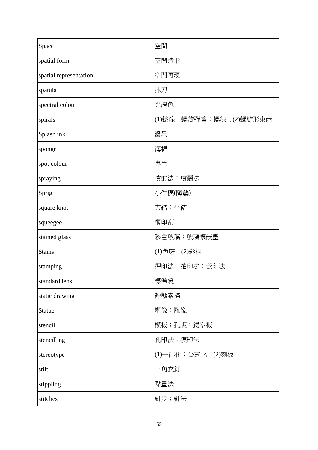| Space                  | 空間                     |
|------------------------|------------------------|
| spatial form           | 空間造形                   |
| spatial representation | 空間再現                   |
| spatula                | 抹刀                     |
| spectral colour        | 光譜色                    |
| spirals                | (1)蜷線;螺旋彈簧;螺線,(2)螺旋形東西 |
| Splash ink             | 潑墨                     |
| sponge                 | 海棉                     |
| spot colour            | 專色                     |
| spraying               | 噴射法;噴灑法                |
| Sprig                  | 小件模(陶藝)                |
| square knot            | 方結;平結                  |
| squeegee               | 網印刮                    |
| stained glass          | 彩色玻璃;玻璃鑲嵌畫             |
| <b>Stains</b>          | (1)色斑, (2)彩料           |
| stamping               | 押印法;拍印法;蓋印法            |
| standard lens          | 標準鏡                    |
| static drawing         | 靜態素描                   |
| <b>Statue</b>          | 塑像;雕像                  |
| stencil                | 模板;孔版;鏤空板              |
| stencilling            | 孔印法;模印法                |
| stereotype             | (1)一律化;公式化,(2)刻板       |
| stilt                  | 三角衣釘                   |
| stippling              | 點畫法                    |
| stitches               | 針步;針法                  |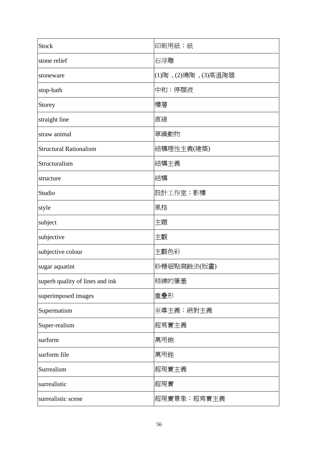| <b>Stock</b>                    | 印刷用紙;紙               |
|---------------------------------|----------------------|
| stone relief                    | 石浮雕                  |
| stoneware                       | (1)陶, (2)燒陶, (3)高溫陶器 |
| stop-bath                       | 中和;停顯液               |
| Storey                          | 樓層                   |
| straight line                   | 直線                   |
| straw animal                    | 草織動物                 |
| <b>Structural Rationalism</b>   | 結構理性主義(建築)           |
| Structuralism                   | 結構主義                 |
| structure                       | 結構                   |
| Studio                          | 設計工作室;影樓             |
| style                           | 風格                   |
| subject                         | 主題                   |
| subjective                      | 主觀                   |
| subjective colour               | 主觀色彩                 |
| sugar aquatint                  | 砂糖細點腐蝕法(版畫)          |
| superb quality of lines and ink | 精練的筆墨                |
| superimposed images             | 重疊形                  |
| Supermatism                     | 至尊主義;絕對主義            |
| Super-realism                   | 超寫實主義                |
| surform                         | 萬用鉋                  |
| surform file                    | 萬用銼                  |
| Surrealism                      | 超現實主義                |
| surrealistic                    | 超現實                  |
| surrealistic scene              | 超現實景象;超寫實主義          |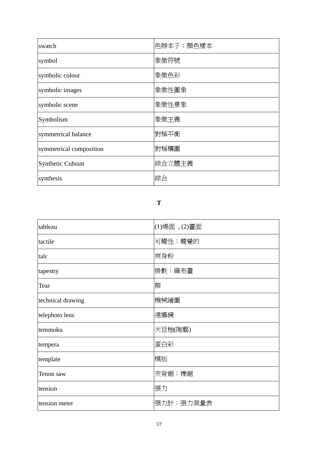| swatch                  | 色辦本子;顏色樣本 |
|-------------------------|-----------|
| symbol                  | 象徵符號      |
| symbolic colour         | 象徵色彩      |
| symbolic images         | 象徵性圖象     |
| symbolic scene          | 象徵性景象     |
| Symbolism               | 象徵主義      |
| symmetrical balance     | 對稱平衡      |
| symmetrical composition | 對稱構圖      |
| <b>Synthetic Cubism</b> | 綜合立體主義    |
| synthesis               | 綜合        |

#### **T**

| tableau           | (1)場面,(2)畫面 |
|-------------------|-------------|
| tactile           | 可觸性;觸覺的     |
| talc              | 爽身粉         |
| tapestry          | 掛氈;織布畫      |
| Tear              | 撕           |
| technical drawing | 機械繪圖        |
| telephoto lens    | 遠攝鏡         |
| temmoku           | 天目釉(陶藝)     |
| tempera           | 蛋白彩         |
| template          | 模版          |
| Tenon saw         | 夾背鋸;榫鋸      |
| tension           | 張力          |
| tension meter     | 張力計;張力測量表   |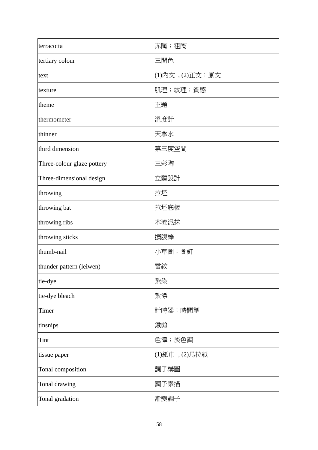| terracotta                 | 赤陶;粗陶           |
|----------------------------|-----------------|
| tertiary colour            | 三間色             |
| text                       | (1)內文, (2)正文;原文 |
| texture                    | 肌理;紋理;質感        |
| theme                      | 主題              |
| thermometer                | 溫度計             |
| thinner                    | 天拿水             |
| third dimension            | 第三度空間           |
| Three-colour glaze pottery | 三彩陶             |
| Three-dimensional design   | 立體設計            |
| throwing                   | 拉坯              |
| throwing bat               | 拉坯底板            |
| throwing ribs              | 木流泥抹            |
| throwing sticks            | 擴腹棒             |
| thumb-nail                 | 小草圖;圖釘          |
| thunder pattern (leiwen)   | 雷紋              |
| tie-dye                    | 紮染              |
| tie-dye bleach             | 紮漂              |
| Timer                      | 計時器;時間掣         |
| tinsnips                   | 鐵剪              |
| Tint                       | 色澤;淡色調          |
| tissue paper               | (1)紙巾, (2)馬拉紙   |
| Tonal composition          | 調子構圖            |
| Tonal drawing              | 調子素描            |
| Tonal gradation            | 漸變調子            |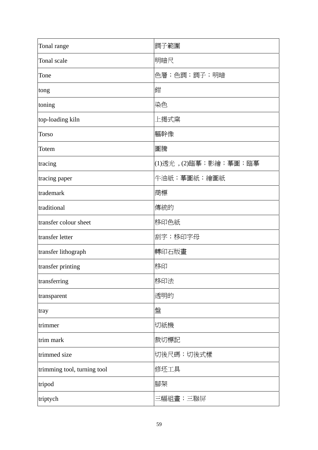| Tonal range                 | 調子範圍                  |
|-----------------------------|-----------------------|
| Tonal scale                 | 明暗尺                   |
| Tone                        | 色層;色調;調子;明暗           |
| tong                        | 鉗                     |
| toning                      | 染色                    |
| top-loading kiln            | 上揭式窯                  |
| Torso                       | 軀幹像                   |
| Totem                       | 圖騰                    |
| tracing                     | (1)透光, (2)臨摹;影繪;摹圖;臨摹 |
| tracing paper               | 牛油紙;摹圖紙;繪圖紙           |
| trademark                   | 商標                    |
| traditional                 | 傳統的                   |
| transfer colour sheet       | 移印色紙                  |
| transfer letter             | 刮字;移印字母               |
| transfer lithograph         | 轉印石版畫                 |
| transfer printing           | 移印                    |
| transferring                | 移印法                   |
| transparent                 | 透明的                   |
| tray                        | 盤                     |
| trimmer                     | 切紙機                   |
| trim mark                   | 裁切標記                  |
| trimmed size                | 切後尺碼;切後式樣             |
| trimming tool, turning tool | 修坯工具                  |
| tripod                      | 腳架                    |
| triptych                    | 三幅組畫;三聯屏              |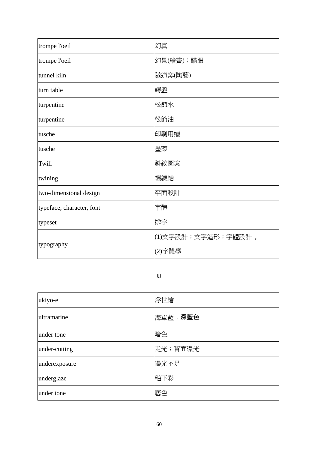| trompe l'oeil             | 幻真                 |
|---------------------------|--------------------|
| trompe l'oeil             | 幻景(繪畫);瞞眼          |
| tunnel kiln               | 隧道窯(陶藝)            |
| turn table                | 轉盤                 |
| turpentine                | 松節水                |
| turpentine                | 松節油                |
| tusche                    | 印刷用蠟               |
| tusche                    | 墨藥                 |
| Twill                     | 斜紋圖案               |
| twining                   | 纏繞結                |
| two-dimensional design    | 平面設計               |
| typeface, character, font | 字體                 |
| typeset                   | 排字                 |
| typography                | (1)文字設計;文字造形;字體設計, |
|                           | (2)字體學             |

# **U**

| ukiyo-e       | 浮世繪     |
|---------------|---------|
| ultramarine   | 海軍藍;深藍色 |
| under tone    | 暗色      |
| under-cutting | 走光;背面曝光 |
| underexposure | 曝光不足    |
| underglaze    | 釉下彩     |
| under tone    | 底色      |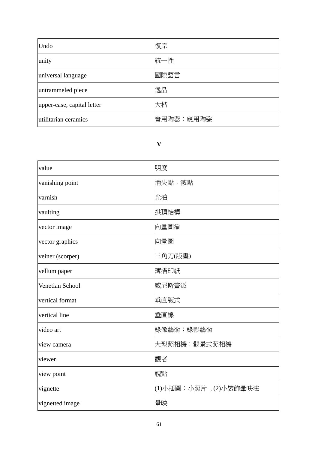| Undo                       | 復原        |
|----------------------------|-----------|
| unity                      | 統一性       |
| universal language         | 國際語言      |
| untrammeled piece          | 逸品        |
| upper-case, capital letter | 大楷        |
| utilitarian ceramics       | 實用陶器;應用陶瓷 |

## **V**

| value            | 明度                   |
|------------------|----------------------|
| vanishing point  | 消失點;滅點               |
| varnish          | 光油                   |
| vaulting         | 拱頂結構                 |
| vector image     | 向量圖象                 |
| vector graphics  | 向量圖                  |
| veiner (scorper) | 三角刀(版畫)              |
| vellum paper     | 薄描印紙                 |
| Venetian School  | 威尼斯畫派                |
| vertical format  | 垂直版式                 |
| vertical line    | 垂直線                  |
| video art        | 錄像藝術;錄影藝術            |
| view camera      | 大型照相機;觀景式照相機         |
| viewer           | 觀者                   |
| view point       | 視點                   |
| vignette         | (1)小插圖;小照片,(2)小裝飾暈映法 |
| vignetted image  | 暈映                   |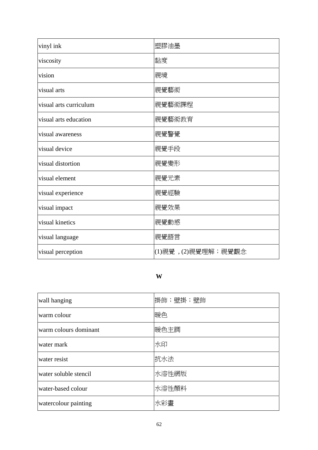| vinyl ink              | 塑膠油墨               |
|------------------------|--------------------|
| viscosity              | 黏度                 |
| vision                 | 視境                 |
| visual arts            | 視覺藝術               |
| visual arts curriculum | 視覺藝術課程             |
| visual arts education  | 視覺藝術教育             |
| visual awareness       | 視覺警覺               |
| visual device          | 視覺手段               |
| visual distortion      | 視覺變形               |
| visual element         | 視覺元素               |
| visual experience      | 視覺經驗               |
| visual impact          | 視覺效果               |
| visual kinetics        | 視覺動感               |
| visual language        | 視覺語言               |
| visual perception      | (1)視覺,(2)視覺理解;視覺觀念 |

## **W**

| wall hanging          | 掛飾;壁掛;壁飾 |
|-----------------------|----------|
| warm colour           | 暖色       |
| warm colours dominant | 暖色主調     |
| water mark            | 水印       |
| water resist          | 抗水法      |
| water soluble stencil | 水溶性網版    |
| water-based colour    | 水溶性顏料    |
| watercolour painting  | 水彩畫      |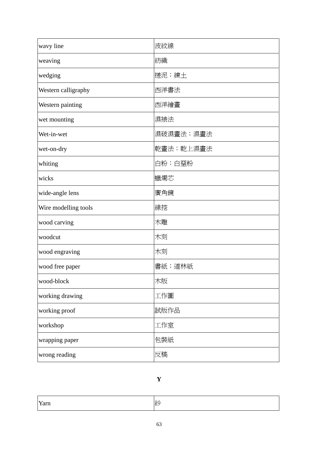| wavy line            | 波紋線       |
|----------------------|-----------|
| weaving              | 紡織        |
| wedging              | 搓泥;練土     |
| Western calligraphy  | 西洋書法      |
| Western painting     | 西洋繪畫      |
| wet mounting         | 濕裱法       |
| Wet-in-wet           | 濕破濕畫法;濕畫法 |
| wet-on-dry           | 乾畫法;乾上濕畫法 |
| whiting              | 白粉;白堊粉    |
| wicks                | 蠟燭芯       |
| wide-angle lens      | 廣角鏡       |
| Wire modelling tools | 線挖        |
| wood carving         | 木雕        |
| woodcut              | 木刻        |
| wood engraving       | 木刻        |
| wood free paper      | 書紙;道林紙    |
| wood-block           | 木版        |
| working drawing      | 工作圖       |
| working proof        | 試版作品      |
| workshop             | 工作室       |
| wrapping paper       | 包裝紙       |
| wrong reading        | 反稿        |

# **Y**

| $- -$<br>「不」<br>٠.<br>. al 11 |
|-------------------------------|
|-------------------------------|